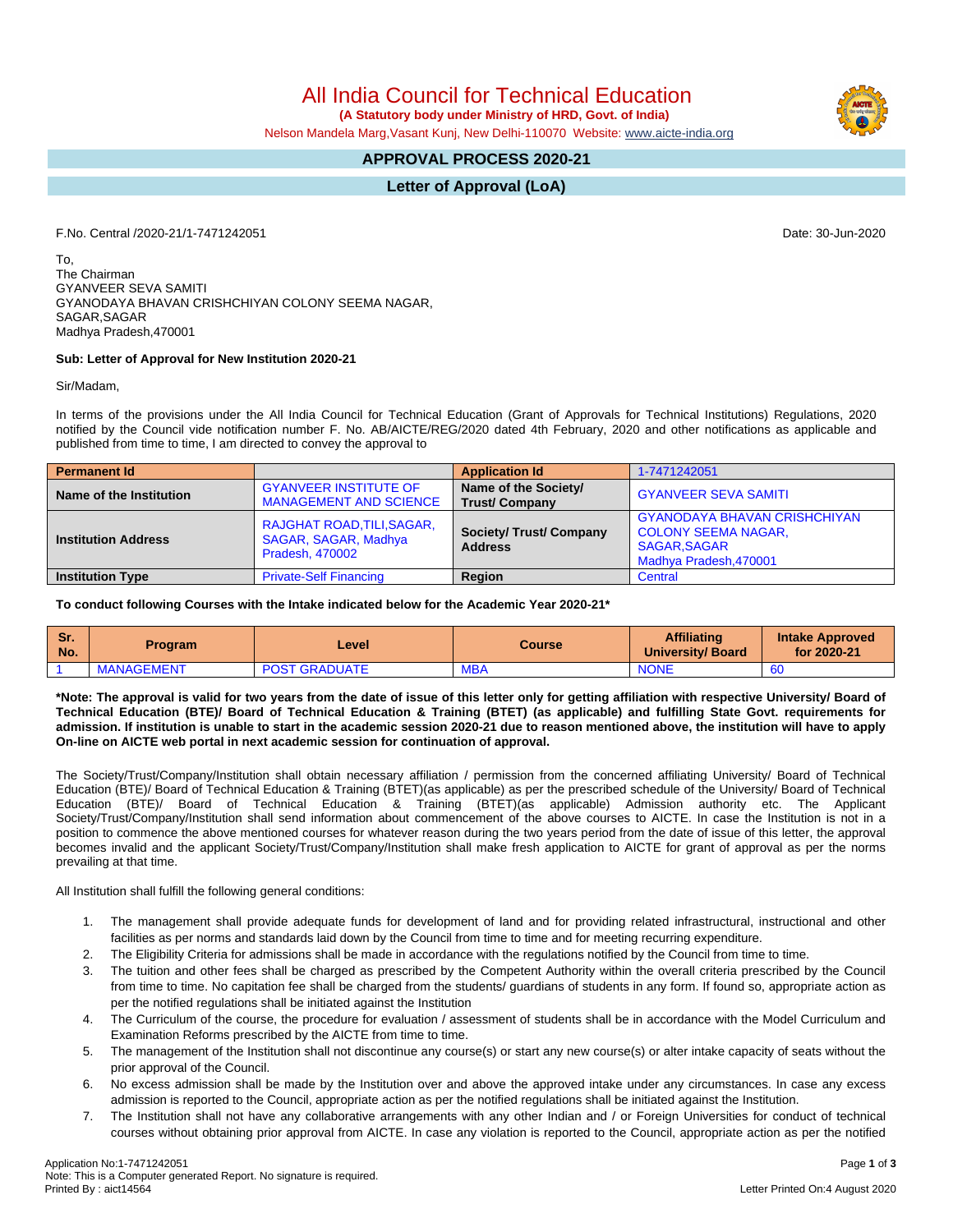All India Council for Technical Education

 **(A Statutory body under Ministry of HRD, Govt. of India)**

Nelson Mandela Marg,Vasant Kunj, New Delhi-110070 Website: [www.aicte-india.org](http://www.aicte-india.org)

## **APPROVAL PROCESS 2020-21**

**Letter of Approval (LoA)**

F.No. Central /2020-21/1-7471242051 Date: 30-Jun-2020

To, The Chairman GYANVEER SEVA SAMITI GYANODAYA BHAVAN CRISHCHIYAN COLONY SEEMA NAGAR, SAGAR,SAGAR Madhya Pradesh,470001

## **Sub: Letter of Approval for New Institution 2020-21**

Sir/Madam,

In terms of the provisions under the All India Council for Technical Education (Grant of Approvals for Technical Institutions) Regulations, 2020 notified by the Council vide notification number F. No. AB/AICTE/REG/2020 dated 4th February, 2020 and other notifications as applicable and published from time to time, I am directed to convey the approval to

| <b>Permanent Id</b>        |                                                                                     | <b>Application Id</b>                        | 1-7471242051                                                                                                |  |  |
|----------------------------|-------------------------------------------------------------------------------------|----------------------------------------------|-------------------------------------------------------------------------------------------------------------|--|--|
| Name of the Institution    | <b>GYANVEER INSTITUTE OF</b><br><b>MANAGEMENT AND SCIENCE</b>                       | Name of the Society/<br><b>Trust/Company</b> | <b>GYANVEER SEVA SAMITI</b>                                                                                 |  |  |
| <b>Institution Address</b> | <b>RAJGHAT ROAD, TILI, SAGAR,</b><br>SAGAR, SAGAR, Madhya<br><b>Pradesh, 470002</b> | Society/ Trust/ Company<br><b>Address</b>    | <b>GYANODAYA BHAVAN CRISHCHIYAN</b><br><b>COLONY SEEMA NAGAR.</b><br>SAGAR, SAGAR<br>Madhya Pradesh, 470001 |  |  |
| <b>Institution Type</b>    | <b>Private-Self Financing</b>                                                       | Region                                       | Central                                                                                                     |  |  |

**To conduct following Courses with the Intake indicated below for the Academic Year 2020-21\***

| <b>Sr.</b><br>No. | <b>Program</b>    | Level                | Course     | <b>Affiliating</b><br><b>University/Board</b> | <b>Intake Approved</b><br>for 2020-21 |
|-------------------|-------------------|----------------------|------------|-----------------------------------------------|---------------------------------------|
|                   | <b>MANAGEMENT</b> | <b>POST GRADUATE</b> | <b>MBA</b> | <b>NONE</b>                                   | -60                                   |

\*Note: The approval is valid for two years from the date of issue of this letter only for getting affiliation with respective University/ Board of Technical Education (BTE)/ Board of Technical Education & Training (BTET) (as applicable) and fulfilling State Govt. requirements for admission. If institution is unable to start in the academic session 2020-21 due to reason mentioned above, the institution will have to apply **On-line on AICTE web portal in next academic session for continuation of approval.**

The Society/Trust/Company/Institution shall obtain necessary affiliation / permission from the concerned affiliating University/ Board of Technical Education (BTE)/ Board of Technical Education & Training (BTET)(as applicable) as per the prescribed schedule of the University/ Board of Technical Education (BTE)/ Board of Technical Education & Training (BTET)(as applicable) Admission authority etc. The Applicant Society/Trust/Company/Institution shall send information about commencement of the above courses to AICTE. In case the Institution is not in a position to commence the above mentioned courses for whatever reason during the two years period from the date of issue of this letter, the approval becomes invalid and the applicant Society/Trust/Company/Institution shall make fresh application to AICTE for grant of approval as per the norms prevailing at that time.

All Institution shall fulfill the following general conditions:

- 1. The management shall provide adequate funds for development of land and for providing related infrastructural, instructional and other facilities as per norms and standards laid down by the Council from time to time and for meeting recurring expenditure.
- 2. The Eligibility Criteria for admissions shall be made in accordance with the regulations notified by the Council from time to time.
- 3. The tuition and other fees shall be charged as prescribed by the Competent Authority within the overall criteria prescribed by the Council from time to time. No capitation fee shall be charged from the students/ guardians of students in any form. If found so, appropriate action as per the notified regulations shall be initiated against the Institution
- 4. The Curriculum of the course, the procedure for evaluation / assessment of students shall be in accordance with the Model Curriculum and Examination Reforms prescribed by the AICTE from time to time.
- 5. The management of the Institution shall not discontinue any course(s) or start any new course(s) or alter intake capacity of seats without the prior approval of the Council.
- 6. No excess admission shall be made by the Institution over and above the approved intake under any circumstances. In case any excess admission is reported to the Council, appropriate action as per the notified regulations shall be initiated against the Institution.
- 7. The Institution shall not have any collaborative arrangements with any other Indian and / or Foreign Universities for conduct of technical courses without obtaining prior approval from AICTE. In case any violation is reported to the Council, appropriate action as per the notified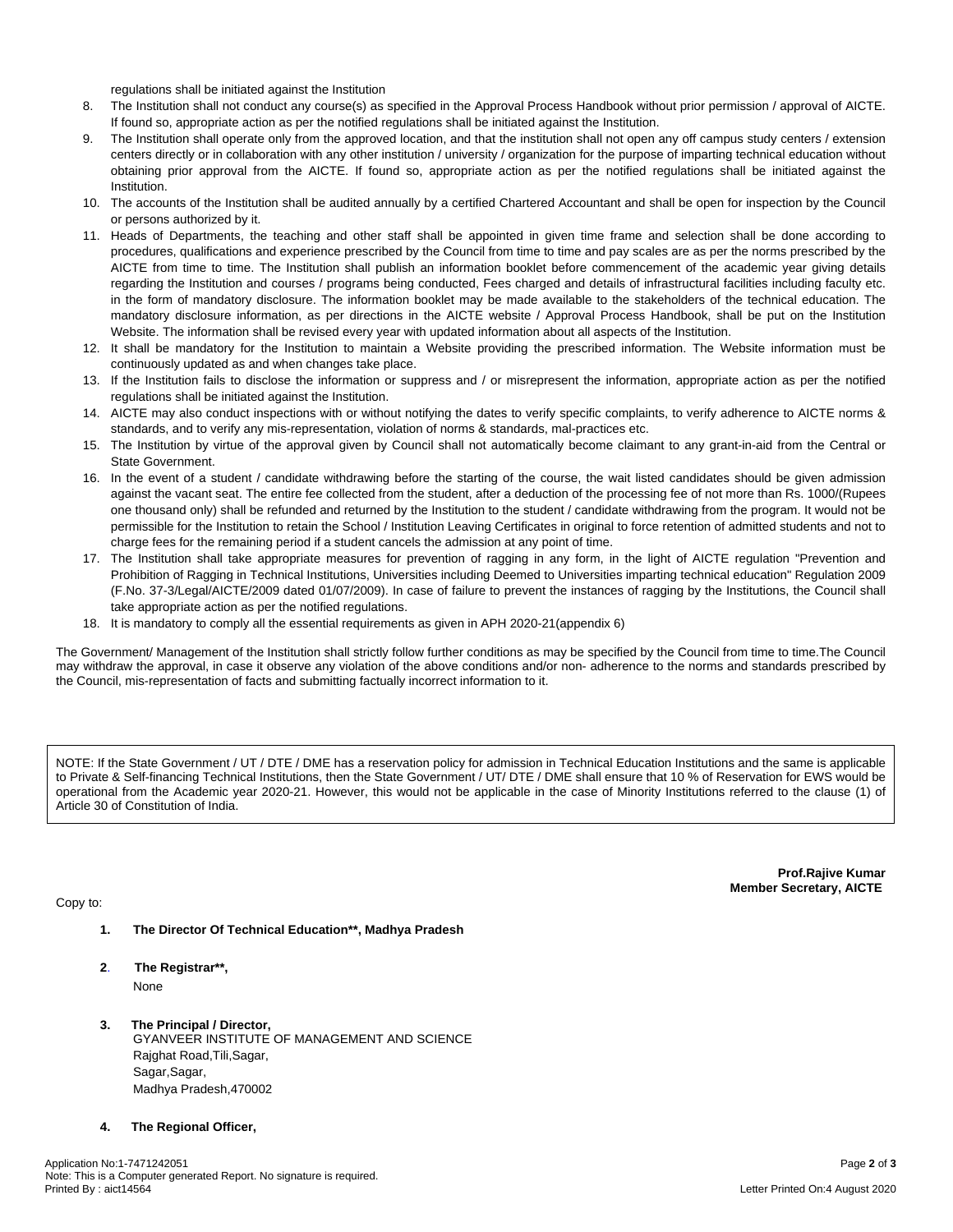regulations shall be initiated against the Institution

- 8. The Institution shall not conduct any course(s) as specified in the Approval Process Handbook without prior permission / approval of AICTE. If found so, appropriate action as per the notified regulations shall be initiated against the Institution.
- 9. The Institution shall operate only from the approved location, and that the institution shall not open any off campus study centers / extension centers directly or in collaboration with any other institution / university / organization for the purpose of imparting technical education without obtaining prior approval from the AICTE. If found so, appropriate action as per the notified regulations shall be initiated against the Institution.
- 10. The accounts of the Institution shall be audited annually by a certified Chartered Accountant and shall be open for inspection by the Council or persons authorized by it.
- 11. Heads of Departments, the teaching and other staff shall be appointed in given time frame and selection shall be done according to procedures, qualifications and experience prescribed by the Council from time to time and pay scales are as per the norms prescribed by the AICTE from time to time. The Institution shall publish an information booklet before commencement of the academic year giving details regarding the Institution and courses / programs being conducted, Fees charged and details of infrastructural facilities including faculty etc. in the form of mandatory disclosure. The information booklet may be made available to the stakeholders of the technical education. The mandatory disclosure information, as per directions in the AICTE website / Approval Process Handbook, shall be put on the Institution Website. The information shall be revised every year with updated information about all aspects of the Institution.
- 12. It shall be mandatory for the Institution to maintain a Website providing the prescribed information. The Website information must be continuously updated as and when changes take place.
- 13. If the Institution fails to disclose the information or suppress and / or misrepresent the information, appropriate action as per the notified regulations shall be initiated against the Institution.
- 14. AICTE may also conduct inspections with or without notifying the dates to verify specific complaints, to verify adherence to AICTE norms & standards, and to verify any mis-representation, violation of norms & standards, mal-practices etc.
- 15. The Institution by virtue of the approval given by Council shall not automatically become claimant to any grant-in-aid from the Central or State Government.
- 16. In the event of a student / candidate withdrawing before the starting of the course, the wait listed candidates should be given admission against the vacant seat. The entire fee collected from the student, after a deduction of the processing fee of not more than Rs. 1000/(Rupees one thousand only) shall be refunded and returned by the Institution to the student / candidate withdrawing from the program. It would not be permissible for the Institution to retain the School / Institution Leaving Certificates in original to force retention of admitted students and not to charge fees for the remaining period if a student cancels the admission at any point of time.
- 17. The Institution shall take appropriate measures for prevention of ragging in any form, in the light of AICTE regulation "Prevention and Prohibition of Ragging in Technical Institutions, Universities including Deemed to Universities imparting technical education" Regulation 2009 (F.No. 37-3/Legal/AICTE/2009 dated 01/07/2009). In case of failure to prevent the instances of ragging by the Institutions, the Council shall take appropriate action as per the notified regulations.
- 18. It is mandatory to comply all the essential requirements as given in APH 2020-21(appendix 6)

The Government/ Management of the Institution shall strictly follow further conditions as may be specified by the Council from time to time.The Council may withdraw the approval, in case it observe any violation of the above conditions and/or non- adherence to the norms and standards prescribed by the Council, mis-representation of facts and submitting factually incorrect information to it.

NOTE: If the State Government / UT / DTE / DME has a reservation policy for admission in Technical Education Institutions and the same is applicable to Private & Self-financing Technical Institutions, then the State Government / UT/ DTE / DME shall ensure that 10 % of Reservation for EWS would be operational from the Academic year 2020-21. However, this would not be applicable in the case of Minority Institutions referred to the clause (1) of Article 30 of Constitution of India.

Copy to:

**Prof.Rajive Kumar Member Secretary, AICTE**

- **1. The Director Of Technical Education\*\*, Madhya Pradesh**
- **2**. **The Registrar\*\*,** None
- **3. The Principal / Director,** GYANVEER INSTITUTE OF MANAGEMENT AND SCIENCE Rajghat Road,Tili,Sagar, Sagar,Sagar, Madhya Pradesh,470002
- **4. The Regional Officer,**